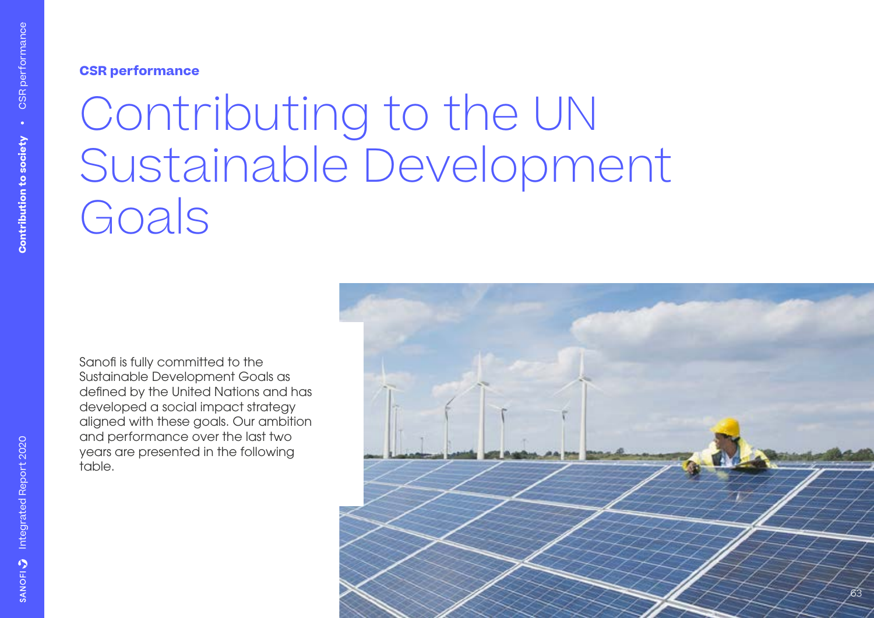**CSR performance**

# Contributing to the UN Sustainable Development Goals

Sanofi is fully committed to the Sustainable Development Goals as defined by the United Nations and has developed a social impact strategy aligned with these goals. Our ambition and performance over the last two years are presented in the following table.

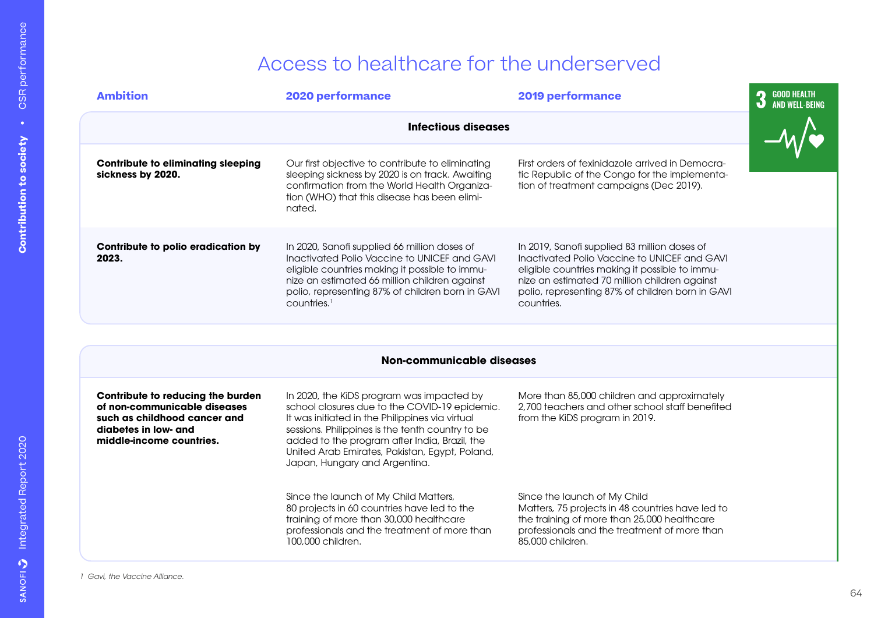### Access to healthcare for the underserved

| <b>Ambition</b>                                                                                                                                       | <b>2020 performance</b>                                                                                                                                                                                                                                                                                                               | <b>2019 performance</b>                                                                                                                                                                                                                                           | 3<br><b>GOOD HEALTH</b><br><b>AND WELL-BEING</b> |
|-------------------------------------------------------------------------------------------------------------------------------------------------------|---------------------------------------------------------------------------------------------------------------------------------------------------------------------------------------------------------------------------------------------------------------------------------------------------------------------------------------|-------------------------------------------------------------------------------------------------------------------------------------------------------------------------------------------------------------------------------------------------------------------|--------------------------------------------------|
|                                                                                                                                                       | Infectious diseases                                                                                                                                                                                                                                                                                                                   |                                                                                                                                                                                                                                                                   |                                                  |
| <b>Contribute to eliminating sleeping</b><br>sickness by 2020.                                                                                        | Our first objective to contribute to eliminating<br>sleeping sickness by 2020 is on track. Awaiting<br>confirmation from the World Health Organiza-<br>tion (WHO) that this disease has been elimi-<br>nated.                                                                                                                         | First orders of fexinidazole arrived in Democra-<br>tic Republic of the Congo for the implementa-<br>tion of treatment campaigns (Dec 2019).                                                                                                                      |                                                  |
| Contribute to polio eradication by<br>2023.                                                                                                           | In 2020, Sanofi supplied 66 million doses of<br>Inactivated Polio Vaccine to UNICEF and GAVI<br>eligible countries making it possible to immu-<br>nize an estimated 66 million children against<br>polio, representing 87% of children born in GAVI<br>countries. <sup>1</sup>                                                        | In 2019, Sanofi supplied 83 million doses of<br>Inactivated Polio Vaccine to UNICEF and GAVI<br>eligible countries making it possible to immu-<br>nize an estimated 70 million children against<br>polio, representing 87% of children born in GAVI<br>countries. |                                                  |
|                                                                                                                                                       |                                                                                                                                                                                                                                                                                                                                       |                                                                                                                                                                                                                                                                   |                                                  |
|                                                                                                                                                       | Non-communicable diseases                                                                                                                                                                                                                                                                                                             |                                                                                                                                                                                                                                                                   |                                                  |
| Contribute to reducing the burden<br>of non-communicable diseases<br>such as childhood cancer and<br>diabetes in low- and<br>middle-income countries. | In 2020, the KiDS program was impacted by<br>school closures due to the COVID-19 epidemic.<br>It was initiated in the Philippines via virtual<br>sessions. Philippines is the tenth country to be<br>added to the program after India, Brazil, the<br>United Arab Emirates, Pakistan, Egypt, Poland,<br>Japan, Hungary and Argentina. | More than 85,000 children and approximately<br>2,700 teachers and other school staff benefited<br>from the KiDS program in 2019.                                                                                                                                  |                                                  |
|                                                                                                                                                       | Since the launch of My Child Matters,<br>80 projects in 60 countries have led to the<br>training of more than 30,000 healthcare<br>professionals and the treatment of more than<br>100,000 children.                                                                                                                                  | Since the launch of My Child<br>Matters, 75 projects in 48 countries have led to<br>the training of more than 25,000 healthcare<br>professionals and the treatment of more than<br>85,000 children.                                                               |                                                  |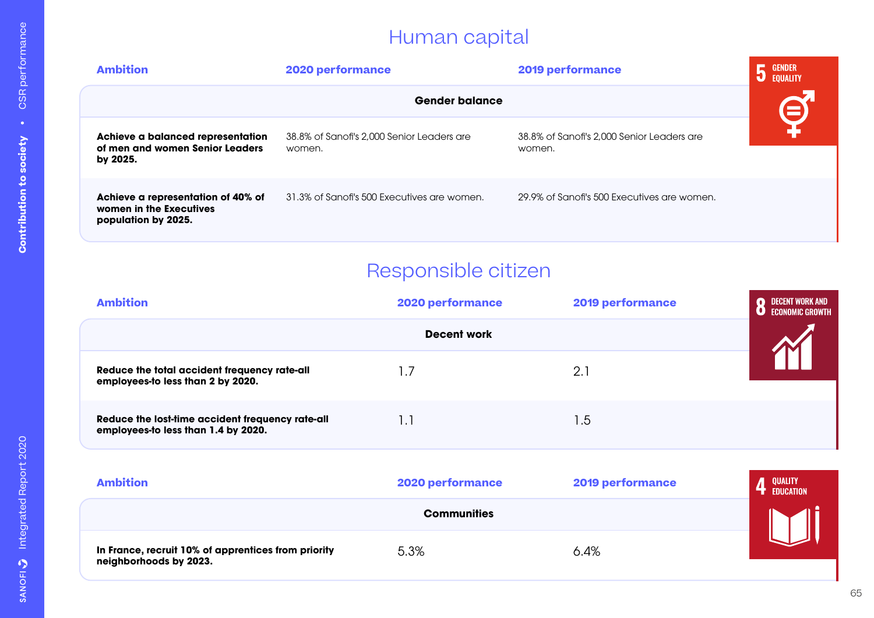## Human capital

| <b>Ambition</b>                                                                      | 2020 performance                                     | 2019 performance                                     | <b>GENDER</b><br><b>EQUALITY</b> |
|--------------------------------------------------------------------------------------|------------------------------------------------------|------------------------------------------------------|----------------------------------|
|                                                                                      | <b>Gender balance</b>                                |                                                      |                                  |
| Achieve a balanced representation<br>of men and women Senior Leaders<br>by 2025.     | 38.8% of Sanofi's 2,000 Senior Leaders are<br>women. | 38.8% of Sanofi's 2,000 Senior Leaders are<br>women. |                                  |
| Achieve a representation of 40% of<br>women in the Executives<br>population by 2025. | 31.3% of Sanofi's 500 Executives are women.          | 29.9% of Sanofi's 500 Executives are women.          |                                  |

### Responsible citizen

| <b>Ambition</b>                                                                         | 2020 performance   | <b>2019 performance</b> | DECENT WORK AND<br>ECONOM <b>i</b> C GROWTH |
|-----------------------------------------------------------------------------------------|--------------------|-------------------------|---------------------------------------------|
|                                                                                         | <b>Decent work</b> |                         |                                             |
| Reduce the total accident frequency rate-all<br>employees-to less than 2 by 2020.       | - 7                | 2.1                     |                                             |
| Reduce the lost-time accident frequency rate-all<br>employees-to less than 1.4 by 2020. | 1.1                | 1.5                     |                                             |
|                                                                                         |                    |                         |                                             |

| <b>Ambition</b>                                                               | <b>2020 performance</b> | <b>2019 performance</b> | <b>QUALITY</b><br><b>EDUCATION</b> |
|-------------------------------------------------------------------------------|-------------------------|-------------------------|------------------------------------|
|                                                                               | <b>Communities</b>      |                         |                                    |
| In France, recruit 10% of apprentices from priority<br>neighborhoods by 2023. | 5.3%                    | 6.4%                    |                                    |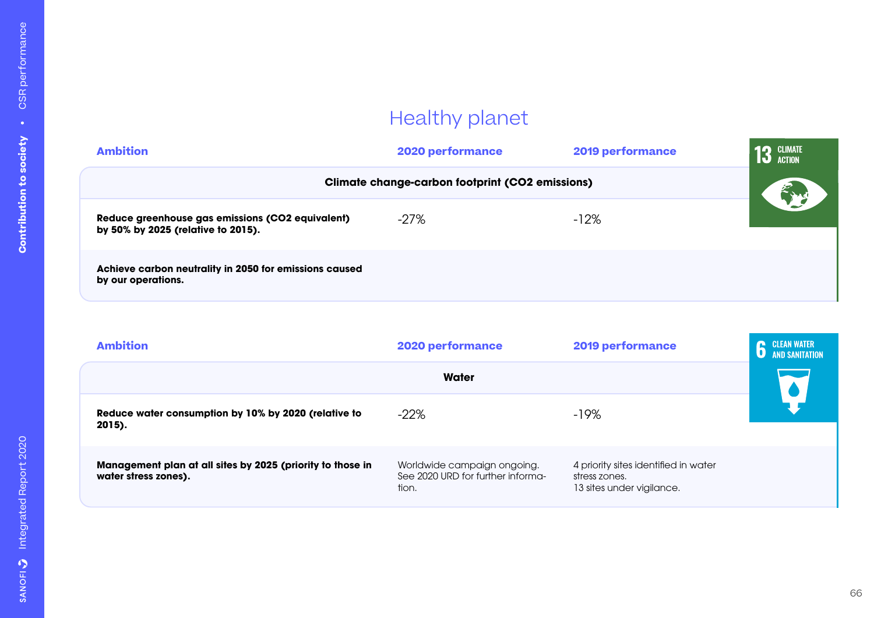# Healthy planet

| <b>Ambition</b>                                                                        | 2020 performance                                       | 2019 performance | <b>CLIMATE</b><br><b>ACTION</b> |
|----------------------------------------------------------------------------------------|--------------------------------------------------------|------------------|---------------------------------|
|                                                                                        | <b>Climate change-carbon footprint (CO2 emissions)</b> |                  |                                 |
| Reduce greenhouse gas emissions (CO2 equivalent)<br>by 50% by 2025 (relative to 2015). | $-27%$                                                 | $-12%$           |                                 |
| Achieve carbon neutrality in 2050 for emissions caused<br>by our operations.           |                                                        |                  |                                 |

| <b>Ambition</b>                                                                    | 2020 performance                                                          | 2019 performance                                                                   | <b>CLEAN WATER</b><br>n<br><b>AND SANITATION</b> |
|------------------------------------------------------------------------------------|---------------------------------------------------------------------------|------------------------------------------------------------------------------------|--------------------------------------------------|
|                                                                                    | Water                                                                     |                                                                                    |                                                  |
| Reduce water consumption by 10% by 2020 (relative to<br>2015).                     | $-22%$                                                                    | $-19%$                                                                             |                                                  |
| Management plan at all sites by 2025 (priority to those in<br>water stress zones). | Worldwide campaign ongoing.<br>See 2020 URD for further informa-<br>tion. | 4 priority sites identified in water<br>stress zones.<br>13 sites under vigilance. |                                                  |